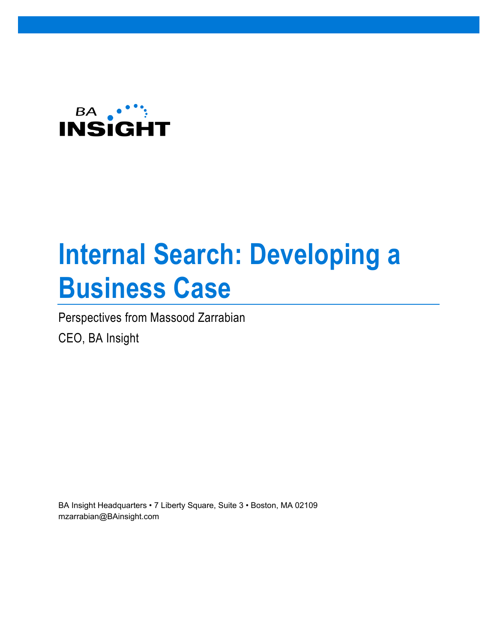

# **Internal Search: Developing a Business Case**

Perspectives from Massood Zarrabian

CEO, BA Insight

BA Insight Headquarters • 7 Liberty Square, Suite 3 • Boston, MA 02109 mzarrabian@BAinsight.com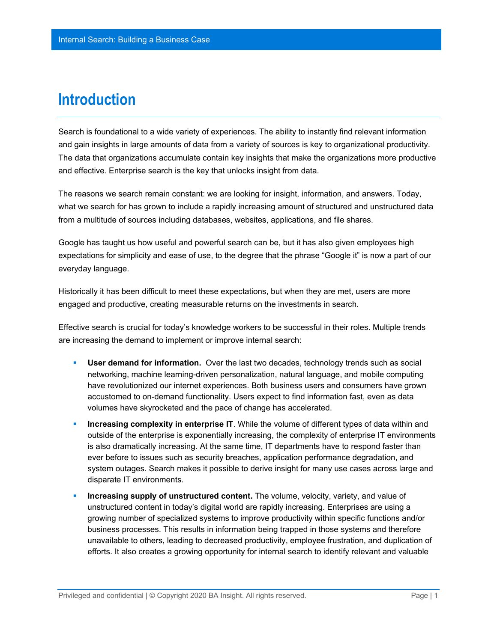#### **Introduction**

Search is foundational to a wide variety of experiences. The ability to instantly find relevant information and gain insights in large amounts of data from a variety of sources is key to organizational productivity. The data that organizations accumulate contain key insights that make the organizations more productive and effective. Enterprise search is the key that unlocks insight from data.

The reasons we search remain constant: we are looking for insight, information, and answers. Today, what we search for has grown to include a rapidly increasing amount of structured and unstructured data from a multitude of sources including databases, websites, applications, and file shares.

Google has taught us how useful and powerful search can be, but it has also given employees high expectations for simplicity and ease of use, to the degree that the phrase "Google it" is now a part of our everyday language.

Historically it has been difficult to meet these expectations, but when they are met, users are more engaged and productive, creating measurable returns on the investments in search.

Effective search is crucial for today's knowledge workers to be successful in their roles. Multiple trends are increasing the demand to implement or improve internal search:

- **User demand for information.** Over the last two decades, technology trends such as social networking, machine learning-driven personalization, natural language, and mobile computing have revolutionized our internet experiences. Both business users and consumers have grown accustomed to on-demand functionality. Users expect to find information fast, even as data volumes have skyrocketed and the pace of change has accelerated.
- **Increasing complexity in enterprise IT**. While the volume of different types of data within and outside of the enterprise is exponentially increasing, the complexity of enterprise IT environments is also dramatically increasing. At the same time, IT departments have to respond faster than ever before to issues such as security breaches, application performance degradation, and system outages. Search makes it possible to derive insight for many use cases across large and disparate IT environments.
- **Increasing supply of unstructured content.** The volume, velocity, variety, and value of unstructured content in today's digital world are rapidly increasing. Enterprises are using a growing number of specialized systems to improve productivity within specific functions and/or business processes. This results in information being trapped in those systems and therefore unavailable to others, leading to decreased productivity, employee frustration, and duplication of efforts. It also creates a growing opportunity for internal search to identify relevant and valuable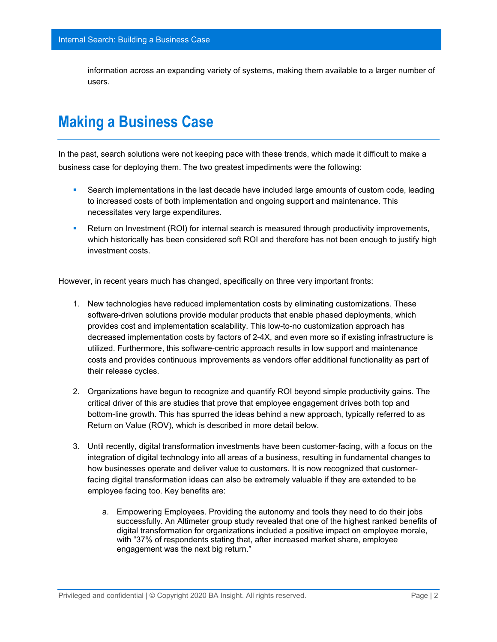information across an expanding variety of systems, making them available to a larger number of users.

### **Making a Business Case**

In the past, search solutions were not keeping pace with these trends, which made it difficult to make a business case for deploying them. The two greatest impediments were the following:

- Search implementations in the last decade have included large amounts of custom code, leading to increased costs of both implementation and ongoing support and maintenance. This necessitates very large expenditures.
- **Return on Investment (ROI) for internal search is measured through productivity improvements,** which historically has been considered soft ROI and therefore has not been enough to justify high investment costs.

However, in recent years much has changed, specifically on three very important fronts:

- 1. New technologies have reduced implementation costs by eliminating customizations. These software-driven solutions provide modular products that enable phased deployments, which provides cost and implementation scalability. This low-to-no customization approach has decreased implementation costs by factors of 2-4X, and even more so if existing infrastructure is utilized. Furthermore, this software-centric approach results in low support and maintenance costs and provides continuous improvements as vendors offer additional functionality as part of their release cycles.
- 2. Organizations have begun to recognize and quantify ROI beyond simple productivity gains. The critical driver of this are studies that prove that employee engagement drives both top and bottom-line growth. This has spurred the ideas behind a new approach, typically referred to as Return on Value (ROV), which is described in more detail below.
- 3. Until recently, digital transformation investments have been customer-facing, with a focus on the integration of digital technology into all areas of a business, resulting in fundamental changes to how businesses operate and deliver value to customers. It is now recognized that customerfacing digital transformation ideas can also be extremely valuable if they are extended to be employee facing too. Key benefits are:
	- a. Empowering Employees. Providing the autonomy and tools they need to do their jobs successfully. An Altimeter group study revealed that one of the highest ranked benefits of digital transformation for organizations included a positive impact on employee morale, with "37% of respondents stating that, after increased market share, employee engagement was the next big return."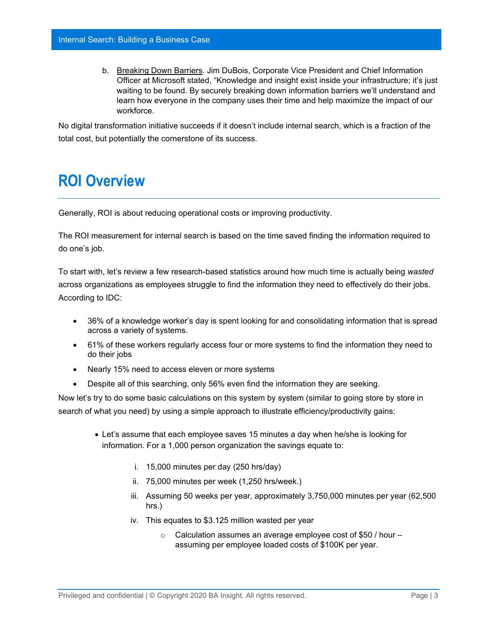b. Breaking Down Barriers. Jim DuBois, Corporate Vice President and Chief Information Officer at Microsoft stated, "Knowledge and insight exist inside your infrastructure; it's just waiting to be found. By securely breaking down information barriers we'll understand and learn how everyone in the company uses their time and help maximize the impact of our workforce.

No digital transformation initiative succeeds if it doesn't include internal search, which is a fraction of the total cost, but potentially the cornerstone of its success.

#### **ROI Overview**

Generally, ROI is about reducing operational costs or improving productivity.

The ROI measurement for internal search is based on the time saved finding the information required to do one's job.

To start with, let's review a few research-based statistics around how much time is actually being *wasted* across organizations as employees struggle to find the information they need to effectively do their jobs. According to IDC:

- 36% of a knowledge worker's day is spent looking for and consolidating information that is spread across a variety of systems.
- 61% of these workers regularly access four or more systems to find the information they need to do their jobs
- Nearly 15% need to access eleven or more systems
- Despite all of this searching, only 56% even find the information they are seeking.

Now let's try to do some basic calculations on this system by system (similar to going store by store in search of what you need) by using a simple approach to illustrate efficiency/productivity gains:

- Let's assume that each employee saves 15 minutes a day when he/she is looking for information. For a 1,000 person organization the savings equate to:
	- i. 15,000 minutes per day (250 hrs/day)
	- ii. 75,000 minutes per week (1,250 hrs/week.)
	- iii. Assuming 50 weeks per year, approximately 3,750,000 minutes per year (62,500 hrs.)
	- iv. This equates to \$3.125 million wasted per year
		- $\circ$  Calculation assumes an average employee cost of \$50 / hour  $$ assuming per employee loaded costs of \$100K per year.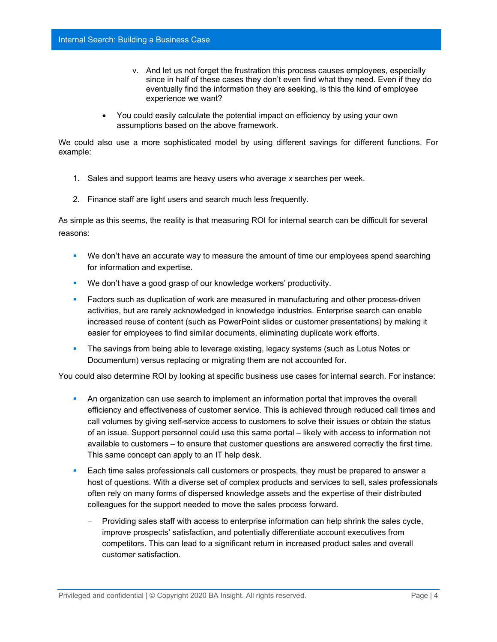- v. And let us not forget the frustration this process causes employees, especially since in half of these cases they don't even find what they need. Even if they do eventually find the information they are seeking, is this the kind of employee experience we want?
- You could easily calculate the potential impact on efficiency by using your own assumptions based on the above framework.

We could also use a more sophisticated model by using different savings for different functions. For example:

- 1. Sales and support teams are heavy users who average *x* searches per week.
- 2. Finance staff are light users and search much less frequently.

As simple as this seems, the reality is that measuring ROI for internal search can be difficult for several reasons:

- **We don't have an accurate way to measure the amount of time our employees spend searching** for information and expertise.
- We don't have a good grasp of our knowledge workers' productivity.
- **Factors such as duplication of work are measured in manufacturing and other process-driven** activities, but are rarely acknowledged in knowledge industries. Enterprise search can enable increased reuse of content (such as PowerPoint slides or customer presentations) by making it easier for employees to find similar documents, eliminating duplicate work efforts.
- The savings from being able to leverage existing, legacy systems (such as Lotus Notes or Documentum) versus replacing or migrating them are not accounted for.

You could also determine ROI by looking at specific business use cases for internal search. For instance:

- An organization can use search to implement an information portal that improves the overall efficiency and effectiveness of customer service. This is achieved through reduced call times and call volumes by giving self-service access to customers to solve their issues or obtain the status of an issue. Support personnel could use this same portal – likely with access to information not available to customers – to ensure that customer questions are answered correctly the first time. This same concept can apply to an IT help desk.
- Each time sales professionals call customers or prospects, they must be prepared to answer a host of questions. With a diverse set of complex products and services to sell, sales professionals often rely on many forms of dispersed knowledge assets and the expertise of their distributed colleagues for the support needed to move the sales process forward.
	- − Providing sales staff with access to enterprise information can help shrink the sales cycle, improve prospects' satisfaction, and potentially differentiate account executives from competitors. This can lead to a significant return in increased product sales and overall customer satisfaction.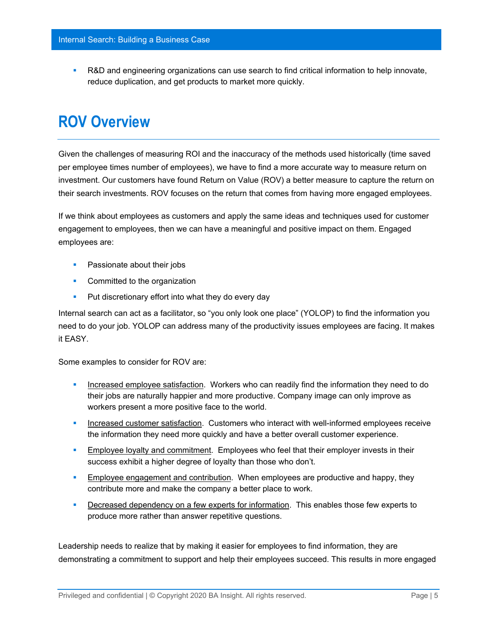R&D and engineering organizations can use search to find critical information to help innovate, reduce duplication, and get products to market more quickly.

### **ROV Overview**

Given the challenges of measuring ROI and the inaccuracy of the methods used historically (time saved per employee times number of employees), we have to find a more accurate way to measure return on investment. Our customers have found Return on Value (ROV) a better measure to capture the return on their search investments. ROV focuses on the return that comes from having more engaged employees.

If we think about employees as customers and apply the same ideas and techniques used for customer engagement to employees, then we can have a meaningful and positive impact on them. Engaged employees are:

- **Passionate about their jobs**
- **Committed to the organization**
- **Put discretionary effort into what they do every day**

Internal search can act as a facilitator, so "you only look one place" (YOLOP) to find the information you need to do your job. YOLOP can address many of the productivity issues employees are facing. It makes it EASY.

Some examples to consider for ROV are:

- **Increased employee satisfaction. Workers who can readily find the information they need to do** their jobs are naturally happier and more productive. Company image can only improve as workers present a more positive face to the world.
- **Increased customer satisfaction. Customers who interact with well-informed employees receive** the information they need more quickly and have a better overall customer experience.
- **Employee loyalty and commitment.** Employees who feel that their employer invests in their success exhibit a higher degree of loyalty than those who don't.
- **Employee engagement and contribution.** When employees are productive and happy, they contribute more and make the company a better place to work.
- **Decreased dependency on a few experts for information.** This enables those few experts to produce more rather than answer repetitive questions.

Leadership needs to realize that by making it easier for employees to find information, they are demonstrating a commitment to support and help their employees succeed. This results in more engaged